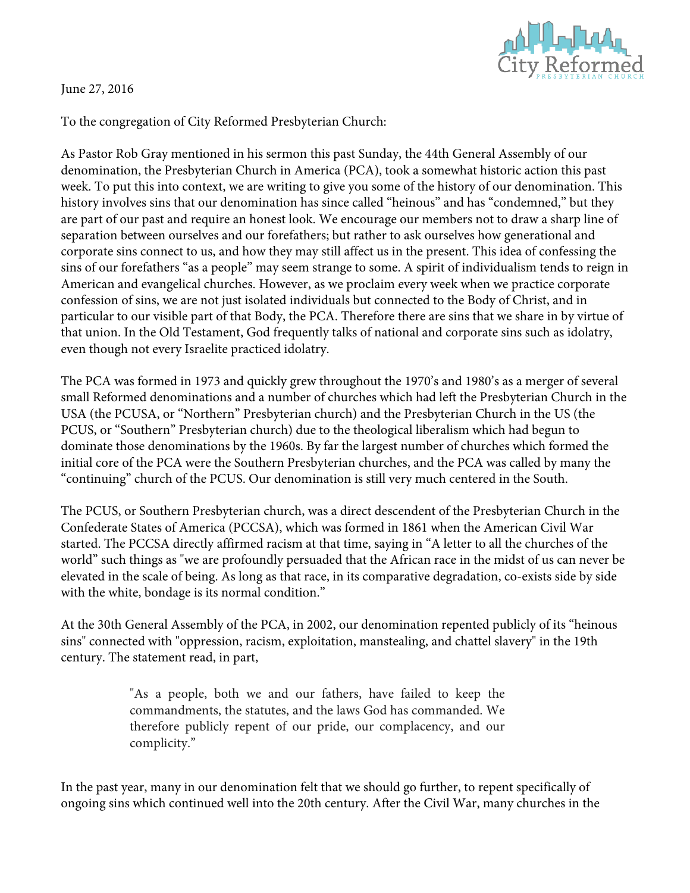

## June 27, 2016

To the congregation of City Reformed Presbyterian Church:

As Pastor Rob Gray mentioned in his sermon this past Sunday, the 44th General Assembly of our denomination, the Presbyterian Church in America (PCA), took a somewhat historic action this past week. To put this into context, we are writing to give you some of the history of our denomination. This history involves sins that our denomination has since called "heinous" and has "condemned," but they are part of our past and require an honest look. We encourage our members not to draw a sharp line of separation between ourselves and our forefathers; but rather to ask ourselves how generational and corporate sins connect to us, and how they may still affect us in the present. This idea of confessing the sins of our forefathers "as a people" may seem strange to some. A spirit of individualism tends to reign in American and evangelical churches. However, as we proclaim every week when we practice corporate confession of sins, we are not just isolated individuals but connected to the Body of Christ, and in particular to our visible part of that Body, the PCA. Therefore there are sins that we share in by virtue of that union. In the Old Testament, God frequently talks of national and corporate sins such as idolatry, even though not every Israelite practiced idolatry.

The PCA was formed in 1973 and quickly grew throughout the 1970's and 1980's as a merger of several small Reformed denominations and a number of churches which had left the Presbyterian Church in the USA (the PCUSA, or "Northern" Presbyterian church) and the Presbyterian Church in the US (the PCUS, or "Southern" Presbyterian church) due to the theological liberalism which had begun to dominate those denominations by the 1960s. By far the largest number of churches which formed the initial core of the PCA were the Southern Presbyterian churches, and the PCA was called by many the "continuing" church of the PCUS. Our denomination is still very much centered in the South.

The PCUS, or Southern Presbyterian church, was a direct descendent of the Presbyterian Church in the Confederate States of America (PCCSA), which was formed in 1861 when the American Civil War started. The PCCSA directly affirmed racism at that time, saying in "A letter to all the churches of the world" such things as "we are profoundly persuaded that the African race in the midst of us can never be elevated in the scale of being. As long as that race, in its comparative degradation, co-exists side by side with the white, bondage is its normal condition."

At the 30th General Assembly of the PCA, in 2002, our denomination repented publicly of its "heinous sins" connected with "oppression, racism, exploitation, manstealing, and chattel slavery" in the 19th century. The statement read, in part,

> "As a people, both we and our fathers, have failed to keep the commandments, the statutes, and the laws God has commanded. We therefore publicly repent of our pride, our complacency, and our complicity."

In the past year, many in our denomination felt that we should go further, to repent specifically of ongoing sins which continued well into the 20th century. After the Civil War, many churches in the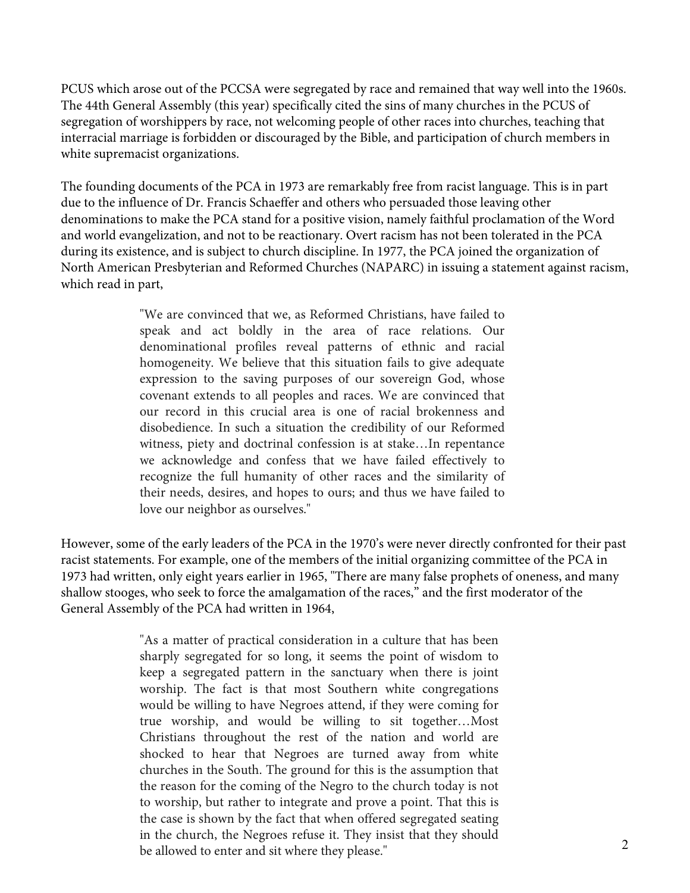PCUS which arose out of the PCCSA were segregated by race and remained that way well into the 1960s. The 44th General Assembly (this year) specifically cited the sins of many churches in the PCUS of segregation of worshippers by race, not welcoming people of other races into churches, teaching that interracial marriage is forbidden or discouraged by the Bible, and participation of church members in white supremacist organizations.

The founding documents of the PCA in 1973 are remarkably free from racist language. This is in part due to the influence of Dr. Francis Schaeffer and others who persuaded those leaving other denominations to make the PCA stand for a positive vision, namely faithful proclamation of the Word and world evangelization, and not to be reactionary. Overt racism has not been tolerated in the PCA during its existence, and is subject to church discipline. In 1977, the PCA joined the organization of North American Presbyterian and Reformed Churches (NAPARC) in issuing a statement against racism, which read in part,

> "We are convinced that we, as Reformed Christians, have failed to speak and act boldly in the area of race relations. Our denominational profiles reveal patterns of ethnic and racial homogeneity. We believe that this situation fails to give adequate expression to the saving purposes of our sovereign God, whose covenant extends to all peoples and races. We are convinced that our record in this crucial area is one of racial brokenness and disobedience. In such a situation the credibility of our Reformed witness, piety and doctrinal confession is at stake…In repentance we acknowledge and confess that we have failed effectively to recognize the full humanity of other races and the similarity of their needs, desires, and hopes to ours; and thus we have failed to love our neighbor as ourselves."

However, some of the early leaders of the PCA in the 1970's were never directly confronted for their past racist statements. For example, one of the members of the initial organizing committee of the PCA in 1973 had written, only eight years earlier in 1965, "There are many false prophets of oneness, and many shallow stooges, who seek to force the amalgamation of the races," and the first moderator of the General Assembly of the PCA had written in 1964,

> "As a matter of practical consideration in a culture that has been sharply segregated for so long, it seems the point of wisdom to keep a segregated pattern in the sanctuary when there is joint worship. The fact is that most Southern white congregations would be willing to have Negroes attend, if they were coming for true worship, and would be willing to sit together…Most Christians throughout the rest of the nation and world are shocked to hear that Negroes are turned away from white churches in the South. The ground for this is the assumption that the reason for the coming of the Negro to the church today is not to worship, but rather to integrate and prove a point. That this is the case is shown by the fact that when offered segregated seating in the church, the Negroes refuse it. They insist that they should be allowed to enter and sit where they please."